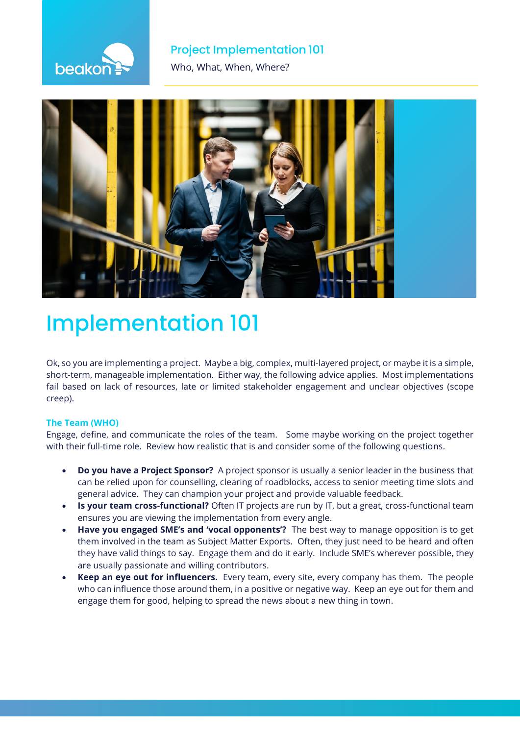

## **Project Implementation 101**

**Who, What, When, Where?** 



# **Implementation 101**

Ok, so you are implementing a project. Maybe a big, complex, multi-layered project, or maybe it is a simple, short-term, manageable implementation. Either way, the following advice applies. Most implementations fail based on lack of resources, late or limited stakeholder engagement and unclear objectives (scope creep).

### **The Team (WHO)**

Engage, define, and communicate the roles of the team. Some maybe working on the project together with their full-time role. Review how realistic that is and consider some of the following questions.

- **Do you have a Project Sponsor?** A project sponsor is usually a senior leader in the business that can be relied upon for counselling, clearing of roadblocks, access to senior meeting time slots and general advice. They can champion your project and provide valuable feedback.
- **Is your team cross-functional?** Often IT projects are run by IT, but a great, cross-functional team ensures you are viewing the implementation from every angle.
- **Have you engaged SME's and 'vocal opponents'?** The best way to manage opposition is to get them involved in the team as Subject Matter Exports. Often, they just need to be heard and often they have valid things to say. Engage them and do it early. Include SME's wherever possible, they are usually passionate and willing contributors.
- **Keep an eye out for influencers.** Every team, every site, every company has them. The people who can influence those around them, in a positive or negative way. Keep an eye out for them and engage them for good, helping to spread the news about a new thing in town.